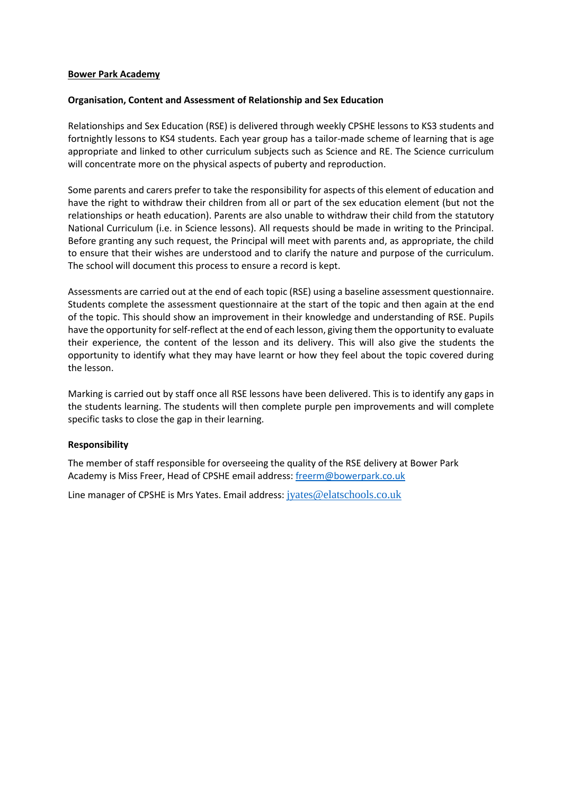## **Bower Park Academy**

### **Organisation, Content and Assessment of Relationship and Sex Education**

Relationships and Sex Education (RSE) is delivered through weekly CPSHE lessons to KS3 students and fortnightly lessons to KS4 students. Each year group has a tailor-made scheme of learning that is age appropriate and linked to other curriculum subjects such as Science and RE. The Science curriculum will concentrate more on the physical aspects of puberty and reproduction.

Some parents and carers prefer to take the responsibility for aspects of this element of education and have the right to withdraw their children from all or part of the sex education element (but not the relationships or heath education). Parents are also unable to withdraw their child from the statutory National Curriculum (i.e. in Science lessons). All requests should be made in writing to the Principal. Before granting any such request, the Principal will meet with parents and, as appropriate, the child to ensure that their wishes are understood and to clarify the nature and purpose of the curriculum. The school will document this process to ensure a record is kept.

Assessments are carried out at the end of each topic (RSE) using a baseline assessment questionnaire. Students complete the assessment questionnaire at the start of the topic and then again at the end of the topic. This should show an improvement in their knowledge and understanding of RSE. Pupils have the opportunity for self-reflect at the end of each lesson, giving them the opportunity to evaluate their experience, the content of the lesson and its delivery. This will also give the students the opportunity to identify what they may have learnt or how they feel about the topic covered during the lesson.

Marking is carried out by staff once all RSE lessons have been delivered. This is to identify any gaps in the students learning. The students will then complete purple pen improvements and will complete specific tasks to close the gap in their learning.

## **Responsibility**

The member of staff responsible for overseeing the quality of the RSE delivery at Bower Park Academy is Miss Freer, Head of CPSHE email address: [freerm@bowerpark.co.uk](mailto:freerm@bowerpark.co.uk)

Line manager of CPSHE is Mrs Yates. Email address: [jyates@elatschools.co.uk](mailto:jyates@elatschools.co.uk)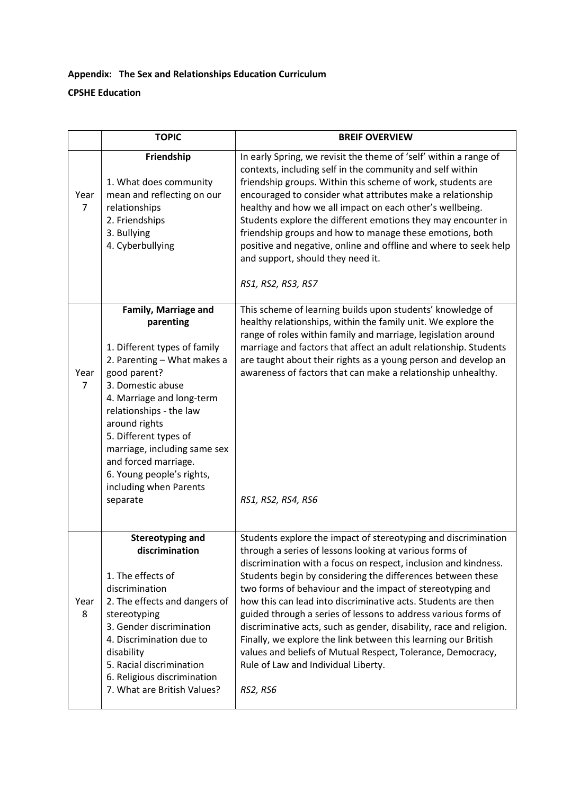# **Appendix: The Sex and Relationships Education Curriculum CPSHE Education**

|                        | <b>TOPIC</b>                                                                                                                                                                                                                                                                                                                                                       | <b>BREIF OVERVIEW</b>                                                                                                                                                                                                                                                                                                                                                                                                                                                                                                                                                                                                                                                                                                  |
|------------------------|--------------------------------------------------------------------------------------------------------------------------------------------------------------------------------------------------------------------------------------------------------------------------------------------------------------------------------------------------------------------|------------------------------------------------------------------------------------------------------------------------------------------------------------------------------------------------------------------------------------------------------------------------------------------------------------------------------------------------------------------------------------------------------------------------------------------------------------------------------------------------------------------------------------------------------------------------------------------------------------------------------------------------------------------------------------------------------------------------|
| Year<br>$\overline{7}$ | Friendship<br>1. What does community<br>mean and reflecting on our<br>relationships<br>2. Friendships<br>3. Bullying<br>4. Cyberbullying                                                                                                                                                                                                                           | In early Spring, we revisit the theme of 'self' within a range of<br>contexts, including self in the community and self within<br>friendship groups. Within this scheme of work, students are<br>encouraged to consider what attributes make a relationship<br>healthy and how we all impact on each other's wellbeing.<br>Students explore the different emotions they may encounter in<br>friendship groups and how to manage these emotions, both<br>positive and negative, online and offline and where to seek help<br>and support, should they need it.<br>RS1, RS2, RS3, RS7                                                                                                                                    |
| Year<br>$\overline{7}$ | Family, Marriage and<br>parenting<br>1. Different types of family<br>2. Parenting - What makes a<br>good parent?<br>3. Domestic abuse<br>4. Marriage and long-term<br>relationships - the law<br>around rights<br>5. Different types of<br>marriage, including same sex<br>and forced marriage.<br>6. Young people's rights,<br>including when Parents<br>separate | This scheme of learning builds upon students' knowledge of<br>healthy relationships, within the family unit. We explore the<br>range of roles within family and marriage, legislation around<br>marriage and factors that affect an adult relationship. Students<br>are taught about their rights as a young person and develop an<br>awareness of factors that can make a relationship unhealthy.<br>RS1, RS2, RS4, RS6                                                                                                                                                                                                                                                                                               |
| Year<br>8              | <b>Stereotyping and</b><br>discrimination<br>1. The effects of<br>discrimination<br>2. The effects and dangers of<br>stereotyping<br>3. Gender discrimination<br>4. Discrimination due to<br>disability<br>5. Racial discrimination<br>6. Religious discrimination<br>7. What are British Values?                                                                  | Students explore the impact of stereotyping and discrimination<br>through a series of lessons looking at various forms of<br>discrimination with a focus on respect, inclusion and kindness.<br>Students begin by considering the differences between these<br>two forms of behaviour and the impact of stereotyping and<br>how this can lead into discriminative acts. Students are then<br>guided through a series of lessons to address various forms of<br>discriminative acts, such as gender, disability, race and religion.<br>Finally, we explore the link between this learning our British<br>values and beliefs of Mutual Respect, Tolerance, Democracy,<br>Rule of Law and Individual Liberty.<br>RS2, RS6 |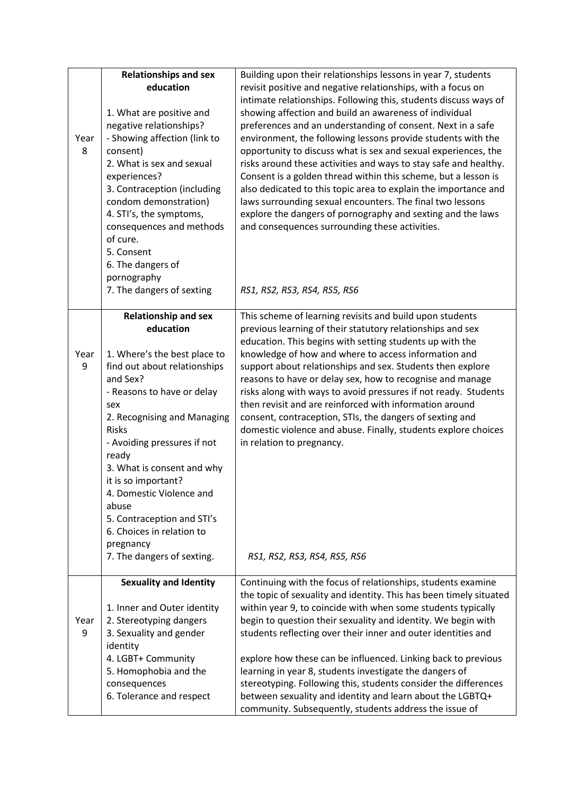|      | <b>Relationships and sex</b>         | Building upon their relationships lessons in year 7, students                                                                      |
|------|--------------------------------------|------------------------------------------------------------------------------------------------------------------------------------|
|      | education                            | revisit positive and negative relationships, with a focus on                                                                       |
|      |                                      | intimate relationships. Following this, students discuss ways of                                                                   |
|      | 1. What are positive and             | showing affection and build an awareness of individual                                                                             |
|      | negative relationships?              | preferences and an understanding of consent. Next in a safe                                                                        |
| Year | - Showing affection (link to         | environment, the following lessons provide students with the                                                                       |
| 8    | consent)                             | opportunity to discuss what is sex and sexual experiences, the                                                                     |
|      | 2. What is sex and sexual            | risks around these activities and ways to stay safe and healthy.                                                                   |
|      | experiences?                         | Consent is a golden thread within this scheme, but a lesson is                                                                     |
|      | 3. Contraception (including          | also dedicated to this topic area to explain the importance and                                                                    |
|      | condom demonstration)                | laws surrounding sexual encounters. The final two lessons                                                                          |
|      | 4. STI's, the symptoms,              | explore the dangers of pornography and sexting and the laws                                                                        |
|      | consequences and methods             | and consequences surrounding these activities.                                                                                     |
|      | of cure.                             |                                                                                                                                    |
|      | 5. Consent                           |                                                                                                                                    |
|      | 6. The dangers of                    |                                                                                                                                    |
|      | pornography                          |                                                                                                                                    |
|      | 7. The dangers of sexting            | RS1, RS2, RS3, RS4, RS5, RS6                                                                                                       |
|      | <b>Relationship and sex</b>          | This scheme of learning revisits and build upon students                                                                           |
|      | education                            | previous learning of their statutory relationships and sex                                                                         |
|      |                                      | education. This begins with setting students up with the                                                                           |
| Year | 1. Where's the best place to         | knowledge of how and where to access information and                                                                               |
| 9    | find out about relationships         | support about relationships and sex. Students then explore                                                                         |
|      | and Sex?                             | reasons to have or delay sex, how to recognise and manage                                                                          |
|      | - Reasons to have or delay           | risks along with ways to avoid pressures if not ready. Students                                                                    |
|      | sex                                  | then revisit and are reinforced with information around                                                                            |
|      | 2. Recognising and Managing          | consent, contraception, STIs, the dangers of sexting and                                                                           |
|      | <b>Risks</b>                         | domestic violence and abuse. Finally, students explore choices                                                                     |
|      | - Avoiding pressures if not<br>ready | in relation to pregnancy.                                                                                                          |
|      | 3. What is consent and why           |                                                                                                                                    |
|      | it is so important?                  |                                                                                                                                    |
|      | 4. Domestic Violence and             |                                                                                                                                    |
|      | abuse                                |                                                                                                                                    |
|      | 5. Contraception and STI's           |                                                                                                                                    |
|      | 6. Choices in relation to            |                                                                                                                                    |
|      | pregnancy                            |                                                                                                                                    |
|      | 7. The dangers of sexting.           | RS1, RS2, RS3, RS4, RS5, RS6                                                                                                       |
|      |                                      |                                                                                                                                    |
|      | <b>Sexuality and Identity</b>        | Continuing with the focus of relationships, students examine<br>the topic of sexuality and identity. This has been timely situated |
|      | 1. Inner and Outer identity          | within year 9, to coincide with when some students typically                                                                       |
| Year | 2. Stereotyping dangers              | begin to question their sexuality and identity. We begin with                                                                      |
| 9    | 3. Sexuality and gender              | students reflecting over their inner and outer identities and                                                                      |
|      | identity                             |                                                                                                                                    |
|      | 4. LGBT+ Community                   | explore how these can be influenced. Linking back to previous                                                                      |
|      | 5. Homophobia and the                | learning in year 8, students investigate the dangers of                                                                            |
|      | consequences                         | stereotyping. Following this, students consider the differences                                                                    |
|      | 6. Tolerance and respect             | between sexuality and identity and learn about the LGBTQ+                                                                          |
|      |                                      | community. Subsequently, students address the issue of                                                                             |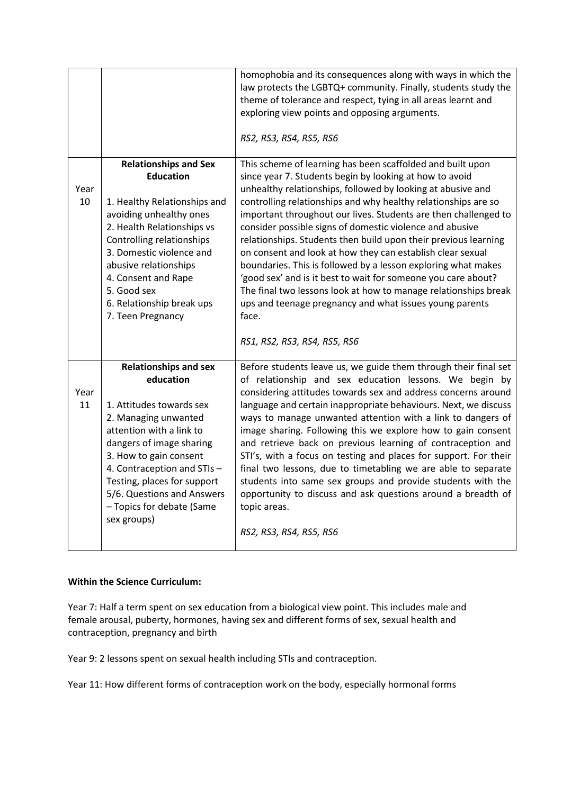|            |                                                         | homophobia and its consequences along with ways in which the<br>law protects the LGBTQ+ community. Finally, students study the<br>theme of tolerance and respect, tying in all areas learnt and<br>exploring view points and opposing arguments.<br>RS2, RS3, RS4, RS5, RS6 |
|------------|---------------------------------------------------------|-----------------------------------------------------------------------------------------------------------------------------------------------------------------------------------------------------------------------------------------------------------------------------|
|            | <b>Relationships and Sex</b>                            | This scheme of learning has been scaffolded and built upon                                                                                                                                                                                                                  |
| Year       | <b>Education</b>                                        | since year 7. Students begin by looking at how to avoid<br>unhealthy relationships, followed by looking at abusive and                                                                                                                                                      |
| 10         | 1. Healthy Relationships and                            | controlling relationships and why healthy relationships are so                                                                                                                                                                                                              |
|            | avoiding unhealthy ones                                 | important throughout our lives. Students are then challenged to                                                                                                                                                                                                             |
|            | 2. Health Relationships vs<br>Controlling relationships | consider possible signs of domestic violence and abusive<br>relationships. Students then build upon their previous learning                                                                                                                                                 |
|            | 3. Domestic violence and                                | on consent and look at how they can establish clear sexual                                                                                                                                                                                                                  |
|            | abusive relationships                                   | boundaries. This is followed by a lesson exploring what makes                                                                                                                                                                                                               |
|            | 4. Consent and Rape<br>5. Good sex                      | 'good sex' and is it best to wait for someone you care about?<br>The final two lessons look at how to manage relationships break                                                                                                                                            |
|            | 6. Relationship break ups                               | ups and teenage pregnancy and what issues young parents                                                                                                                                                                                                                     |
|            | 7. Teen Pregnancy                                       | face.                                                                                                                                                                                                                                                                       |
|            |                                                         | RS1, RS2, RS3, RS4, RS5, RS6                                                                                                                                                                                                                                                |
|            | <b>Relationships and sex</b>                            | Before students leave us, we guide them through their final set                                                                                                                                                                                                             |
|            | education                                               | of relationship and sex education lessons. We begin by                                                                                                                                                                                                                      |
| Year<br>11 | 1. Attitudes towards sex                                | considering attitudes towards sex and address concerns around<br>language and certain inappropriate behaviours. Next, we discuss                                                                                                                                            |
|            | 2. Managing unwanted                                    | ways to manage unwanted attention with a link to dangers of                                                                                                                                                                                                                 |
|            | attention with a link to                                | image sharing. Following this we explore how to gain consent                                                                                                                                                                                                                |
|            | dangers of image sharing<br>3. How to gain consent      | and retrieve back on previous learning of contraception and<br>STI's, with a focus on testing and places for support. For their                                                                                                                                             |
|            | 4. Contraception and STIs-                              | final two lessons, due to timetabling we are able to separate                                                                                                                                                                                                               |
|            | Testing, places for support                             | students into same sex groups and provide students with the                                                                                                                                                                                                                 |
|            | 5/6. Questions and Answers<br>- Topics for debate (Same | opportunity to discuss and ask questions around a breadth of<br>topic areas.                                                                                                                                                                                                |
|            | sex groups)                                             |                                                                                                                                                                                                                                                                             |
|            |                                                         | RS2, RS3, RS4, RS5, RS6                                                                                                                                                                                                                                                     |
|            |                                                         |                                                                                                                                                                                                                                                                             |

# **Within the Science Curriculum:**

Year 7: Half a term spent on sex education from a biological view point. This includes male and female arousal, puberty, hormones, having sex and different forms of sex, sexual health and contraception, pregnancy and birth

Year 9: 2 lessons spent on sexual health including STIs and contraception.

Year 11: How different forms of contraception work on the body, especially hormonal forms